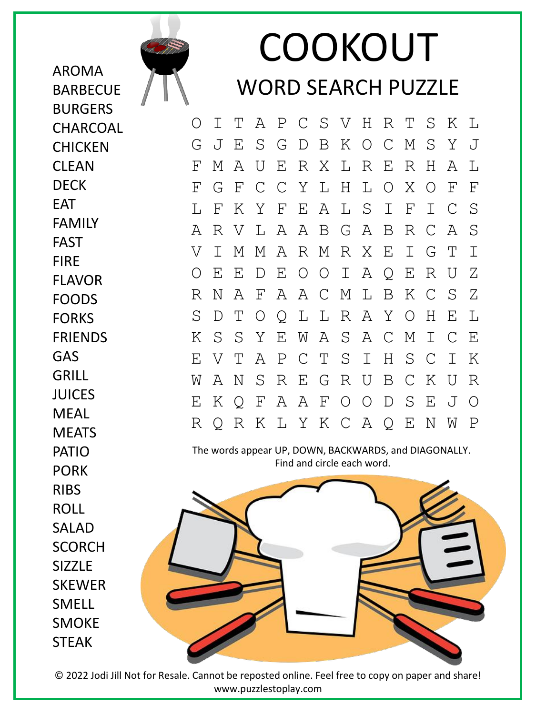

AROMA

**BARBECUE** 

BURGERS **CHARCOAL** 

**CHICKEN** 

CLEAN DECK

FAMILY

FLAVOR FOODS **FORKS** 

FRIENDS

GAS GRILL

JUICES MEAL **MEATS** 

EAT

FAST FIRE

## COOKOUT WORD SEARCH PUZZLE

O I T A P C S V H R T S K L G J E S G D B K O C M S Y J F M A U E R X L R E R H A L F G F C C Y L H L O X O F F L F K Y F E A L S I F I C S A R V L A A B G A B R C A S V I M M A R M R X E I G T I O E E D E O O I A Q E R U Z R N A F A A C M L B K C S Z S D T O Q L L R A Y O H E L K S S Y E W A S A C M I C E E V T A P C T S I H S C I K W A N S R E G R U B C K U R E K Q F A A F O O D S E J O R Q R K L Y K C A Q E N W P

The words appear UP, DOWN, BACKWARDS, and DIAGONALLY. Find and circle each word.



PATIO PORK RIBS ROLL SALAD **SCORCH** SIZZLE SKEWER SMELL SMOKE STEAK

© 2022 Jodi Jill Not for Resale. Cannot be reposted online. Feel free to copy on paper and share! www.puzzlestoplay.com